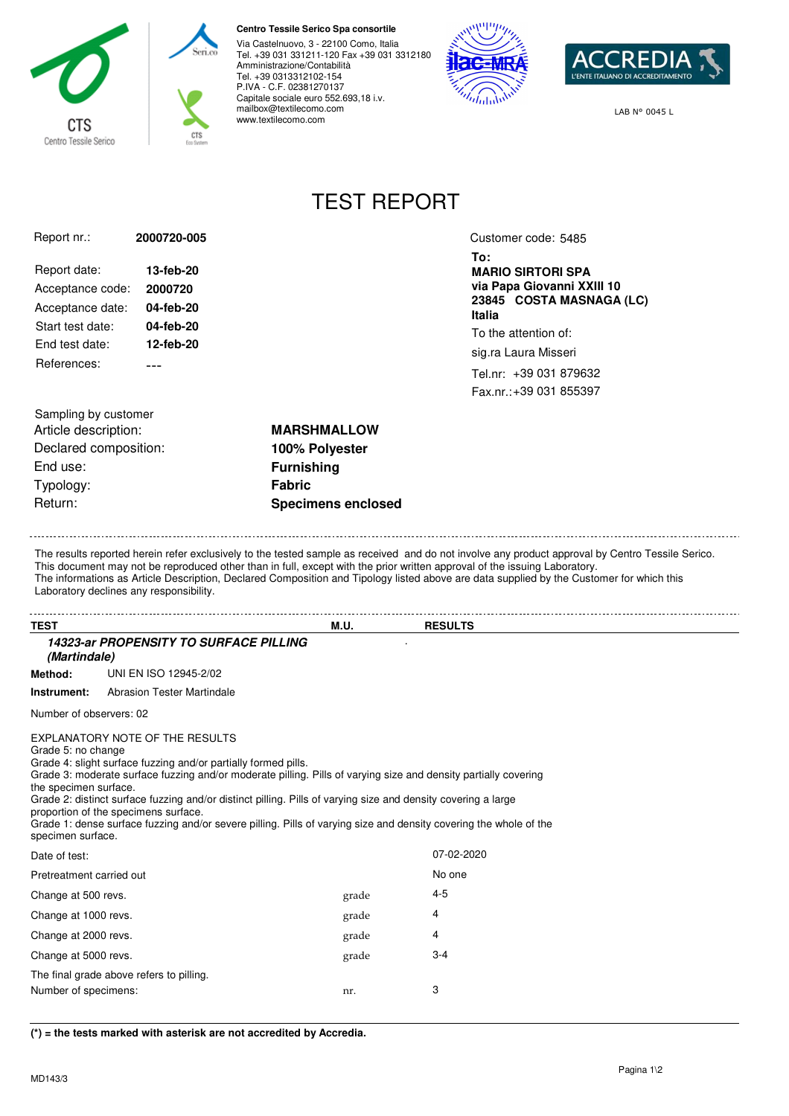

## **Centro Tessile Serico Spa consortile**

Via Castelnuovo, 3 - 22100 Como, Italia Tel. +39 031 331211-120 Fax +39 031 3312180 Amministrazione/Contabilità Tel. +39 0313312102-154 P.IVA - C.F. 02381270137 Capitale sociale euro 552.693,18 i.v. mailbox@textilecomo.com www.textilecomo.com





LAB N° 0045 L

## TEST REPORT

| Report nr.:      | 2000720-005 |
|------------------|-------------|
| Report date:     | 13-feb-20   |
| Acceptance code: | 2000720     |
| Acceptance date: | 04-feb-20   |
| Start test date: | 04-feb-20   |
| Fnd test date:   | 12-feb-20   |
| References:      |             |
|                  |             |

Customer code: 5485

**To: MARIO SIRTORI SPA via Papa Giovanni XXIII 10 23845 COSTA MASNAGA (LC) Italia**

To the attention of: sig.ra Laura Misseri

Tel.nr: +39 031 879632

Fax.nr.: +39 031 855397

Sampling by customer Article description: **MARSHMALLOW** Declared composition: **100% Polyester** End use: **Furnishing** Typology: **Fabric** Return: **Specimens enclosed**

The results reported herein refer exclusively to the tested sample as received and do not involve any product approval by Centro Tessile Serico. This document may not be reproduced other than in full, except with the prior written approval of the issuing Laboratory. The informations as Article Description, Declared Composition and Tipology listed above are data supplied by the Customer for which this Laboratory declines any responsibility.

| <b>TEST</b>                                                                                                                                                                                                                                                                                                                                                                                                                                                                                                                                                            |                                          | M.U.  | <b>RESULTS</b> |  |  |  |
|------------------------------------------------------------------------------------------------------------------------------------------------------------------------------------------------------------------------------------------------------------------------------------------------------------------------------------------------------------------------------------------------------------------------------------------------------------------------------------------------------------------------------------------------------------------------|------------------------------------------|-------|----------------|--|--|--|
| <b>14323-ar PROPENSITY TO SURFACE PILLING</b><br>(Martindale)                                                                                                                                                                                                                                                                                                                                                                                                                                                                                                          |                                          |       |                |  |  |  |
| Method:                                                                                                                                                                                                                                                                                                                                                                                                                                                                                                                                                                | UNI EN ISO 12945-2/02                    |       |                |  |  |  |
| Instrument:                                                                                                                                                                                                                                                                                                                                                                                                                                                                                                                                                            | <b>Abrasion Tester Martindale</b>        |       |                |  |  |  |
| Number of observers: 02                                                                                                                                                                                                                                                                                                                                                                                                                                                                                                                                                |                                          |       |                |  |  |  |
| EXPLANATORY NOTE OF THE RESULTS<br>Grade 5: no change<br>Grade 4: slight surface fuzzing and/or partially formed pills.<br>Grade 3: moderate surface fuzzing and/or moderate pilling. Pills of varying size and density partially covering<br>the specimen surface.<br>Grade 2: distinct surface fuzzing and/or distinct pilling. Pills of varying size and density covering a large<br>proportion of the specimens surface.<br>Grade 1: dense surface fuzzing and/or severe pilling. Pills of varying size and density covering the whole of the<br>specimen surface. |                                          |       |                |  |  |  |
| Date of test:                                                                                                                                                                                                                                                                                                                                                                                                                                                                                                                                                          |                                          |       | 07-02-2020     |  |  |  |
| Pretreatment carried out                                                                                                                                                                                                                                                                                                                                                                                                                                                                                                                                               |                                          |       | No one         |  |  |  |
| Change at 500 revs.                                                                                                                                                                                                                                                                                                                                                                                                                                                                                                                                                    |                                          | grade | $4 - 5$        |  |  |  |
| Change at 1000 revs.                                                                                                                                                                                                                                                                                                                                                                                                                                                                                                                                                   |                                          | grade | 4              |  |  |  |
| Change at 2000 revs.                                                                                                                                                                                                                                                                                                                                                                                                                                                                                                                                                   |                                          | grade | 4              |  |  |  |
| Change at 5000 revs.                                                                                                                                                                                                                                                                                                                                                                                                                                                                                                                                                   |                                          | grade | $3 - 4$        |  |  |  |
|                                                                                                                                                                                                                                                                                                                                                                                                                                                                                                                                                                        | The final grade above refers to pilling. |       |                |  |  |  |
| Number of specimens:                                                                                                                                                                                                                                                                                                                                                                                                                                                                                                                                                   |                                          | nr.   | 3              |  |  |  |

**(\*) = the tests marked with asterisk are not accredited by Accredia.**